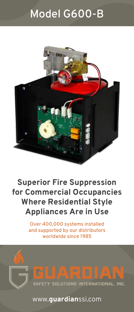# Model G600-B



# **Superior Fire Suppression for Commercial Occupancies Where Residential Style Appliances Are in Use**

Over 400,000 systems installed and supported by our distributors worldwide since 1985

SAFETY SOLUTIONS INTERNATIONAL, INC.

www.**guardian**ssi.com